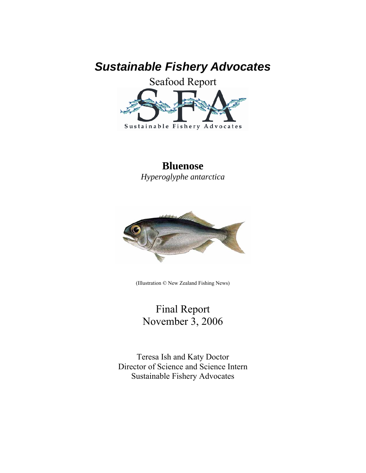# *Sustainable Fishery Advocates*



## **Bluenose**

*Hyperoglyphe antarctica* 



(Illustration © New Zealand Fishing News)

Final Report November 3, 2006

Teresa Ish and Katy Doctor Director of Science and Science Intern Sustainable Fishery Advocates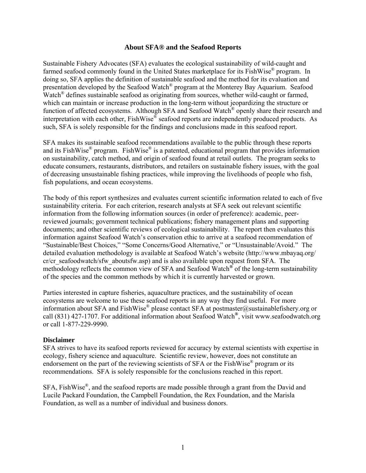#### **About SFA® and the Seafood Reports**

Sustainable Fishery Advocates (SFA) evaluates the ecological sustainability of wild-caught and farmed seafood commonly found in the United States marketplace for its FishWise<sup>®</sup> program. In doing so, SFA applies the definition of sustainable seafood and the method for its evaluation and presentation developed by the Seafood Watch® program at the Monterey Bay Aquarium. Seafood Watch<sup>®</sup> defines sustainable seafood as originating from sources, whether wild-caught or farmed, which can maintain or increase production in the long-term without jeopardizing the structure or function of affected ecosystems. Although SFA and Seafood Watch® openly share their research and interpretation with each other, FishWise® seafood reports are independently produced products. As such, SFA is solely responsible for the findings and conclusions made in this seafood report.

SFA makes its sustainable seafood recommendations available to the public through these reports and its FishWise<sup>®</sup> program. FishWise<sup>®</sup> is a patented, educational program that provides information on sustainability, catch method, and origin of seafood found at retail outlets. The program seeks to educate consumers, restaurants, distributors, and retailers on sustainable fishery issues, with the goal of decreasing unsustainable fishing practices, while improving the livelihoods of people who fish, fish populations, and ocean ecosystems.

The body of this report synthesizes and evaluates current scientific information related to each of five sustainability criteria. For each criterion, research analysts at SFA seek out relevant scientific information from the following information sources (in order of preference): academic, peerreviewed journals; government technical publications; fishery management plans and supporting documents; and other scientific reviews of ecological sustainability. The report then evaluates this information against Seafood Watch's conservation ethic to arrive at a seafood recommendation of "Sustainable/Best Choices," "Some Concerns/Good Alternative," or "Unsustainable/Avoid." The detailed evaluation methodology is available at Seafood Watch's website (http://www.mbayaq.org/ cr/cr\_seafoodwatch/sfw\_aboutsfw.asp) and is also available upon request from SFA. The methodology reflects the common view of SFA and Seafood Watch**®** of the long-term sustainability of the species and the common methods by which it is currently harvested or grown.

Parties interested in capture fisheries, aquaculture practices, and the sustainability of ocean ecosystems are welcome to use these seafood reports in any way they find useful. For more information about SFA and FishWise® please contact SFA at postmaster@sustainablefishery.org or call (831) 427-1707. For additional information about Seafood Watch**®**, visit www.seafoodwatch.org or call 1-877-229-9990.

#### **Disclaimer**

SFA strives to have its seafood reports reviewed for accuracy by external scientists with expertise in ecology, fishery science and aquaculture. Scientific review, however, does not constitute an endorsement on the part of the reviewing scientists of SFA or the FishWise® program or its recommendations. SFA is solely responsible for the conclusions reached in this report.

SFA, FishWise®, and the seafood reports are made possible through a grant from the David and Lucile Packard Foundation, the Campbell Foundation, the Rex Foundation, and the Marisla Foundation, as well as a number of individual and business donors.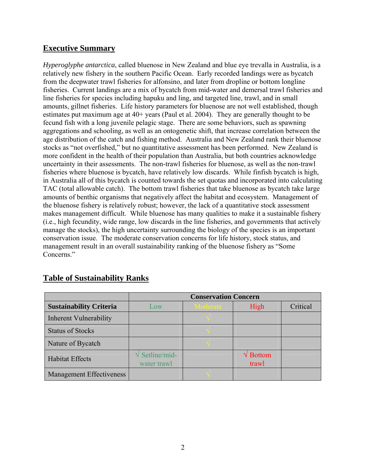## **Executive Summary**

*Hyperoglyphe antarctica*, called bluenose in New Zealand and blue eye trevalla in Australia, is a relatively new fishery in the southern Pacific Ocean. Early recorded landings were as bycatch from the deepwater trawl fisheries for alfonsino, and later from dropline or bottom longline fisheries. Current landings are a mix of bycatch from mid-water and demersal trawl fisheries and line fisheries for species including hapuku and ling, and targeted line, trawl, and in small amounts, gillnet fisheries. Life history parameters for bluenose are not well established, though estimates put maximum age at 40+ years (Paul et al. 2004). They are generally thought to be fecund fish with a long juvenile pelagic stage. There are some behaviors, such as spawning aggregations and schooling, as well as an ontogenetic shift, that increase correlation between the age distribution of the catch and fishing method. Australia and New Zealand rank their bluenose stocks as "not overfished," but no quantitative assessment has been performed. New Zealand is more confident in the health of their population than Australia, but both countries acknowledge uncertainty in their assessments. The non-trawl fisheries for bluenose, as well as the non-trawl fisheries where bluenose is bycatch, have relatively low discards. While finfish bycatch is high, in Australia all of this bycatch is counted towards the set quotas and incorporated into calculating TAC (total allowable catch). The bottom trawl fisheries that take bluenose as bycatch take large amounts of benthic organisms that negatively affect the habitat and ecosystem. Management of the bluenose fishery is relatively robust; however, the lack of a quantitative stock assessment makes management difficult. While bluenose has many qualities to make it a sustainable fishery (i.e., high fecundity, wide range, low discards in the line fisheries, and governments that actively manage the stocks), the high uncertainty surrounding the biology of the species is an important conservation issue. The moderate conservation concerns for life history, stock status, and management result in an overall sustainability ranking of the bluenose fishery as "Some Concerns."

|                                 | <b>Conservation Concern</b>                |          |                                 |          |
|---------------------------------|--------------------------------------------|----------|---------------------------------|----------|
| <b>Sustainability Criteria</b>  | $_{\text{Low}}$                            | Moderate | High                            | Critical |
| <b>Inherent Vulnerability</b>   |                                            |          |                                 |          |
| <b>Status of Stocks</b>         |                                            |          |                                 |          |
| Nature of Bycatch               |                                            |          |                                 |          |
| <b>Habitat Effects</b>          | $\sqrt{\text{Setline}}/mid$<br>water trawl |          | $\sqrt{\text{Bottom}}$<br>trawl |          |
| <b>Management Effectiveness</b> |                                            |          |                                 |          |

## **Table of Sustainability Ranks**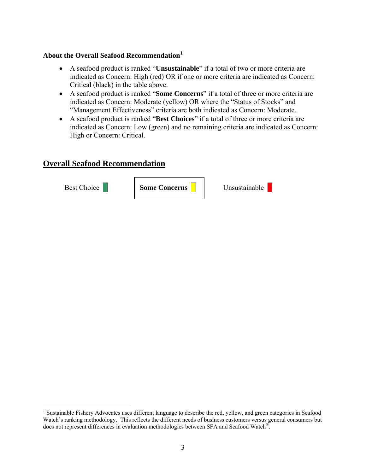## **About the Overall Seafood Recommendation[1](#page-3-0)**

- A seafood product is ranked "**Unsustainable**" if a total of two or more criteria are indicated as Concern: High (red) OR if one or more criteria are indicated as Concern: Critical (black) in the table above.
- A seafood product is ranked "**Some Concerns**" if a total of three or more criteria are indicated as Concern: Moderate (yellow) OR where the "Status of Stocks" and "Management Effectiveness" criteria are both indicated as Concern: Moderate.
- A seafood product is ranked "**Best Choices**" if a total of three or more criteria are indicated as Concern: Low (green) and no remaining criteria are indicated as Concern: High or Concern: Critical.

## **Overall Seafood Recommendation**

Best Choice **Some Concerns B** Unsustainable

 $\overline{a}$ 

<span id="page-3-0"></span><sup>&</sup>lt;sup>1</sup> Sustainable Fishery Advocates uses different language to describe the red, yellow, and green categories in Seafood Watch's ranking methodology. This reflects the different needs of business customers versus general consumers but does not represent differences in evaluation methodologies between SFA and Seafood Watch®.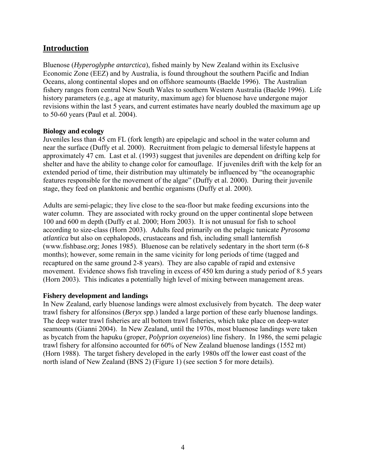## **Introduction**

Bluenose (*Hyperoglyphe antarctica*), fished mainly by New Zealand within its Exclusive Economic Zone (EEZ) and by Australia, is found throughout the southern Pacific and Indian Oceans, along continental slopes and on offshore seamounts (Baelde 1996). The Australian fishery ranges from central New South Wales to southern Western Australia (Baelde 1996). Life history parameters (e.g., age at maturity, maximum age) for bluenose have undergone major revisions within the last 5 years, and current estimates have nearly doubled the maximum age up to 50-60 years (Paul et al. 2004).

#### **Biology and ecology**

Juveniles less than 45 cm FL (fork length) are epipelagic and school in the water column and near the surface (Duffy et al. 2000). Recruitment from pelagic to demersal lifestyle happens at approximately 47 cm. Last et al. (1993) suggest that juveniles are dependent on drifting kelp for shelter and have the ability to change color for camouflage. If juveniles drift with the kelp for an extended period of time, their distribution may ultimately be influenced by "the oceanographic features responsible for the movement of the algae" (Duffy et al. 2000). During their juvenile stage, they feed on planktonic and benthic organisms (Duffy et al. 2000).

Adults are semi-pelagic; they live close to the sea-floor but make feeding excursions into the water column. They are associated with rocky ground on the upper continental slope between 100 and 600 m depth (Duffy et al. 2000; Horn 2003). It is not unusual for fish to school according to size-class (Horn 2003). Adults feed primarily on the pelagic tunicate *Pyrosoma atlantica* but also on cephalopods, crustaceans and fish, including small lanternfish (www.fishbase.org; Jones 1985). Bluenose can be relatively sedentary in the short term (6-8 months); however, some remain in the same vicinity for long periods of time (tagged and recaptured on the same ground 2-8 years). They are also capable of rapid and extensive movement. Evidence shows fish traveling in excess of 450 km during a study period of 8.5 years (Horn 2003). This indicates a potentially high level of mixing between management areas.

#### **Fishery development and landings**

In New Zealand, early bluenose landings were almost exclusively from bycatch. The deep water trawl fishery for alfonsinos (*Beryx* spp.) landed a large portion of these early bluenose landings. The deep water trawl fisheries are all bottom trawl fisheries, which take place on deep-water seamounts (Gianni 2004). In New Zealand, until the 1970s, most bluenose landings were taken as bycatch from the hapuku (groper, *Polyprion oxyeneios*) line fishery. In 1986, the semi pelagic trawl fishery for alfonsino accounted for 60% of New Zealand bluenose landings (1552 mt) (Horn 1988). The target fishery developed in the early 1980s off the lower east coast of the north island of New Zealand (BNS 2) (Figure 1) (see section 5 for more details).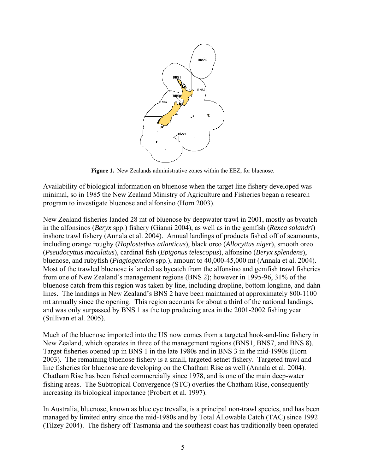

**Figure 1.** New Zealands administrative zones within the EEZ, for bluenose.

Availability of biological information on bluenose when the target line fishery developed was minimal, so in 1985 the New Zealand Ministry of Agriculture and Fisheries began a research program to investigate bluenose and alfonsino (Horn 2003).

New Zealand fisheries landed 28 mt of bluenose by deepwater trawl in 2001, mostly as bycatch in the alfonsinos (*Beryx* spp.) fishery (Gianni 2004), as well as in the gemfish (*Rexea solandri*) inshore trawl fishery (Annala et al. 2004). Annual landings of products fished off of seamounts, including orange roughy (*Hoplostethus atlanticus*), black oreo (*Allocyttus niger*), smooth oreo (*Pseudocyttus maculatus*), cardinal fish (*Epigonus telescopus*), alfonsino (*Beryx splendens*), bluenose, and rubyfish (*Plagiogeneion* spp.), amount to 40,000-45,000 mt (Annala et al. 2004). Most of the trawled bluenose is landed as bycatch from the alfonsino and gemfish trawl fisheries from one of New Zealand's management regions (BNS 2); however in 1995-96, 31% of the bluenose catch from this region was taken by line, including dropline, bottom longline, and dahn lines. The landings in New Zealand's BNS 2 have been maintained at approximately 800-1100 mt annually since the opening. This region accounts for about a third of the national landings, and was only surpassed by BNS 1 as the top producing area in the 2001-2002 fishing year (Sullivan et al. 2005).

Much of the bluenose imported into the US now comes from a targeted hook-and-line fishery in New Zealand, which operates in three of the management regions (BNS1, BNS7, and BNS 8). Target fisheries opened up in BNS 1 in the late 1980s and in BNS 3 in the mid-1990s (Horn 2003). The remaining bluenose fishery is a small, targeted setnet fishery. Targeted trawl and line fisheries for bluenose are developing on the Chatham Rise as well (Annala et al. 2004). Chatham Rise has been fished commercially since 1978, and is one of the main deep-water fishing areas. The Subtropical Convergence (STC) overlies the Chatham Rise, consequently increasing its biological importance (Probert et al. 1997).

In Australia, bluenose, known as blue eye trevalla, is a principal non-trawl species, and has been managed by limited entry since the mid-1980s and by Total Allowable Catch (TAC) since 1992 (Tilzey 2004). The fishery off Tasmania and the southeast coast has traditionally been operated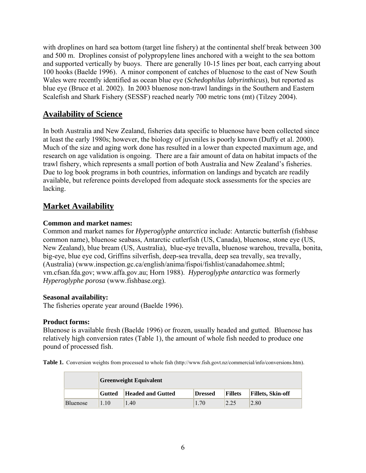with droplines on hard sea bottom (target line fishery) at the continental shelf break between 300 and 500 m. Droplines consist of polypropylene lines anchored with a weight to the sea bottom and supported vertically by buoys. There are generally 10-15 lines per boat, each carrying about 100 hooks (Baelde 1996). A minor component of catches of bluenose to the east of New South Wales were recently identified as ocean blue eye (*Schedophilus labyrinthicus*), but reported as blue eye (Bruce et al. 2002). In 2003 bluenose non-trawl landings in the Southern and Eastern Scalefish and Shark Fishery (SESSF) reached nearly 700 metric tons (mt) (Tilzey 2004).

## **Availability of Science**

In both Australia and New Zealand, fisheries data specific to bluenose have been collected since at least the early 1980s; however, the biology of juveniles is poorly known (Duffy et al. 2000). Much of the size and aging work done has resulted in a lower than expected maximum age, and research on age validation is ongoing. There are a fair amount of data on habitat impacts of the trawl fishery, which represents a small portion of both Australia and New Zealand's fisheries. Due to log book programs in both countries, information on landings and bycatch are readily available, but reference points developed from adequate stock assessments for the species are lacking.

## **Market Availability**

#### **Common and market names:**

Common and market names for *Hyperoglyphe antarctica* include: Antarctic butterfish (fishbase common name), bluenose seabass, Antarctic cutlerfish (US, Canada), bluenose, stone eye (US, New Zealand), blue bream (US, Australia), blue-eye trevalla, bluenose warehou, trevalla, bonita, big-eye, blue eye cod, Griffins silverfish, deep-sea trevalla, deep sea trevally, sea trevally, (Australia) (www.inspection.gc.ca/english/anima/fispoi/fishlist/canadahomee.shtml; vm.cfsan.fda.gov; www.affa.gov.au; Horn 1988). *Hyperoglyphe antarctica* was formerly *Hyperoglyphe porosa* (www.fishbase.org).

#### **Seasonal availability:**

The fisheries operate year around (Baelde 1996).

#### **Product forms:**

Bluenose is available fresh (Baelde 1996) or frozen, usually headed and gutted. Bluenose has relatively high conversion rates (Table 1), the amount of whole fish needed to produce one pound of processed fish.

**Table 1.** Conversion weights from processed to whole fish (http://www.fish.govt.nz/commercial/info/conversions.htm).

|                 | <b>Greenweight Equivalent</b> |                   |                |                |                          |
|-----------------|-------------------------------|-------------------|----------------|----------------|--------------------------|
|                 | Gutted                        | Headed and Gutted | <b>Dressed</b> | <b>Fillets</b> | <b>Fillets, Skin-off</b> |
| <b>Bluenose</b> | $\pm 10^{-1}$                 | 1.40              | 1.70           | 2.25           | 2.80                     |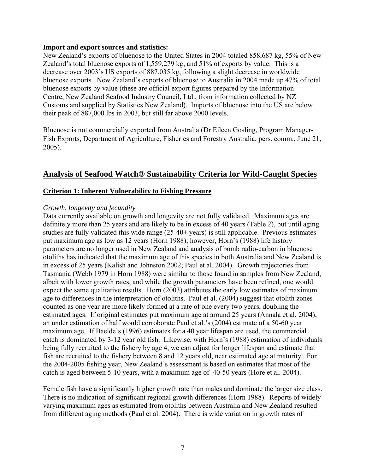#### **Import and export sources and statistics:**

New Zealand's exports of bluenose to the United States in 2004 totaled 858,687 kg, 55% of New Zealand's total bluenose exports of 1,559,279 kg, and 51% of exports by value. This is a decrease over 2003's US exports of 887,035 kg, following a slight decrease in worldwide bluenose exports. New Zealand's exports of bluenose to Australia in 2004 made up 47% of total bluenose exports by value (these are official export figures prepared by the Information Centre, New Zealand Seafood Industry Council, Ltd., from information collected by NZ Customs and supplied by Statistics New Zealand). Imports of bluenose into the US are below their peak of 887,000 lbs in 2003, but still far above 2000 levels.

Bluenose is not commercially exported from Australia (Dr Eileen Gosling, Program Manager-Fish Exports, Department of Agriculture, Fisheries and Forestry Australia, pers. comm., June 21, 2005).

## **Analysis of Seafood Watch® Sustainability Criteria for Wild-Caught Species**

#### **Criterion 1: Inherent Vulnerability to Fishing Pressure**

#### *Growth, longevity and fecundity*

Data currently available on growth and longevity are not fully validated. Maximum ages are definitely more than 25 years and are likely to be in excess of 40 years (Table 2), but until aging studies are fully validated this wide range (25-40+ years) is still applicable. Previous estimates put maximum age as low as 12 years (Horn 1988); however, Horn's (1988) life history parameters are no longer used in New Zealand and analysis of bomb radio-carbon in bluenose otoliths has indicated that the maximum age of this species in both Australia and New Zealand is in excess of 25 years (Kalish and Johnston 2002; Paul et al. 2004). Growth trajectories from Tasmania (Webb 1979 in Horn 1988) were similar to those found in samples from New Zealand, albeit with lower growth rates, and while the growth parameters have been refined, one would expect the same qualitative results. Horn (2003) attributes the early low estimates of maximum age to differences in the interpretation of otoliths. Paul et al. (2004) suggest that otolith zones counted as one year are more likely formed at a rate of one every two years, doubling the estimated ages. If original estimates put maximum age at around 25 years (Annala et al. 2004), an under estimation of half would corroborate Paul et al.'s (2004) estimate of a 50-60 year maximum age. If Baelde's (1996) estimates for a 40 year lifespan are used, the commercial catch is dominated by 3-12 year old fish. Likewise, with Horn's (1988) estimation of individuals being fully recruited to the fishery by age 4, we can adjust for longer lifespan and estimate that fish are recruited to the fishery between 8 and 12 years old, near estimated age at maturity. For the 2004-2005 fishing year, New Zealand's assessment is based on estimates that most of the catch is aged between 5-10 years, with a maximum age of 40-50 years (Hore et al. 2004).

Female fish have a significantly higher growth rate than males and dominate the larger size class. There is no indication of significant regional growth differences (Horn 1988). Reports of widely varying maximum ages as estimated from otoliths between Australia and New Zealand resulted from different aging methods (Paul et al. 2004). There is wide variation in growth rates of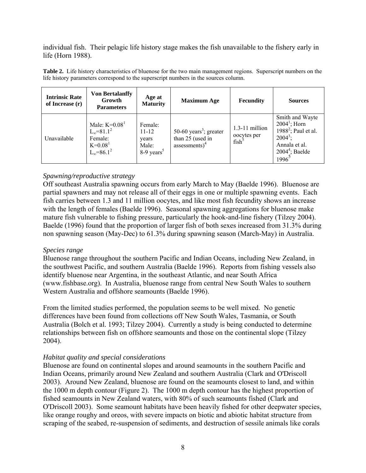individual fish. Their pelagic life history stage makes the fish unavailable to the fishery early in life (Horn 1988).

| <b>Intrinsic Rate</b><br>of Increase (r) | <b>Von Bertalanffy</b><br>Growth<br><b>Parameters</b>                                     | Age at<br><b>Maturity</b>                                        | <b>Maximum Age</b>                                                         | Fecundity                                            | <b>Sources</b>                                                                                                                                 |
|------------------------------------------|-------------------------------------------------------------------------------------------|------------------------------------------------------------------|----------------------------------------------------------------------------|------------------------------------------------------|------------------------------------------------------------------------------------------------------------------------------------------------|
| Unavailable                              | Male: $K=0.081$<br>$L_{\infty} = 81.1^2$<br>Female:<br>$K=0.081$<br>$L_{\infty} = 86.1^2$ | Female:<br>$11 - 12$<br>years<br>Male:<br>8-9 years <sup>5</sup> | 50-60 years <sup>3</sup> ; greater<br>than 25 (used in<br>$assessments)^4$ | $1.3-11$ million<br>oocytes per<br>fish <sup>5</sup> | Smith and Wayte<br>$2004^1$ ; Horn<br>1988 <sup>2</sup> ; Paul et al.<br>$2004^3$ ;<br>Annala et al.<br>$2004^4$ ; Baelde<br>1996 <sup>5</sup> |

**Table 2.** Life history characteristics of bluenose for the two main management regions. Superscript numbers on the life history parameters correspond to the superscript numbers in the sources column.

#### *Spawning/reproductive strategy*

Off southeast Australia spawning occurs from early March to May (Baelde 1996). Bluenose are partial spawners and may not release all of their eggs in one or multiple spawning events. Each fish carries between 1.3 and 11 million oocytes, and like most fish fecundity shows an increase with the length of females (Baelde 1996). Seasonal spawning aggregations for bluenose make mature fish vulnerable to fishing pressure, particularly the hook-and-line fishery (Tilzey 2004). Baelde (1996) found that the proportion of larger fish of both sexes increased from 31.3% during non spawning season (May-Dec) to 61.3% during spawning season (March-May) in Australia.

#### *Species range*

Bluenose range throughout the southern Pacific and Indian Oceans, including New Zealand, in the southwest Pacific, and southern Australia (Baelde 1996). Reports from fishing vessels also identify bluenose near Argentina, in the southeast Atlantic, and near South Africa (www.fishbase.org). In Australia, bluenose range from central New South Wales to southern Western Australia and offshore seamounts (Baelde 1996).

From the limited studies performed, the population seems to be well mixed. No genetic differences have been found from collections off New South Wales, Tasmania, or South Australia (Bolch et al. 1993; Tilzey 2004). Currently a study is being conducted to determine relationships between fish on offshore seamounts and those on the continental slope (Tilzey 2004).

#### *Habitat quality and special considerations*

Bluenose are found on continental slopes and around seamounts in the southern Pacific and Indian Oceans, primarily around New Zealand and southern Australia (Clark and O'Driscoll 2003). Around New Zealand, bluenose are found on the seamounts closest to land, and within the 1000 m depth contour (Figure 2). The 1000 m depth contour has the highest proportion of fished seamounts in New Zealand waters, with 80% of such seamounts fished (Clark and O'Driscoll 2003). Some seamount habitats have been heavily fished for other deepwater species, like orange roughy and oreos, with severe impacts on biotic and abiotic habitat structure from scraping of the seabed, re-suspension of sediments, and destruction of sessile animals like corals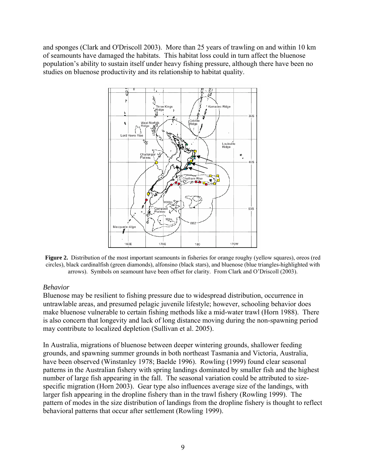and sponges (Clark and O'Driscoll 2003). More than 25 years of trawling on and within 10 km of seamounts have damaged the habitats. This habitat loss could in turn affect the bluenose population's ability to sustain itself under heavy fishing pressure, although there have been no studies on bluenose productivity and its relationship to habitat quality.



**Figure 2.** Distribution of the most important seamounts in fisheries for orange roughy (yellow squares), oreos (red circles), black cardinalfish (green diamonds), alfonsino (black stars), and bluenose (blue triangles-highlighted with arrows). Symbols on seamount have been offset for clarity. From Clark and O'Driscoll (2003).

#### *Behavior*

Bluenose may be resilient to fishing pressure due to widespread distribution, occurrence in untrawlable areas, and presumed pelagic juvenile lifestyle; however, schooling behavior does make bluenose vulnerable to certain fishing methods like a mid-water trawl (Horn 1988). There is also concern that longevity and lack of long distance moving during the non-spawning period may contribute to localized depletion (Sullivan et al. 2005).

In Australia, migrations of bluenose between deeper wintering grounds, shallower feeding grounds, and spawning summer grounds in both northeast Tasmania and Victoria, Australia, have been observed (Winstanley 1978; Baelde 1996). Rowling (1999) found clear seasonal patterns in the Australian fishery with spring landings dominated by smaller fish and the highest number of large fish appearing in the fall. The seasonal variation could be attributed to sizespecific migration (Horn 2003). Gear type also influences average size of the landings, with larger fish appearing in the dropline fishery than in the trawl fishery (Rowling 1999). The pattern of modes in the size distribution of landings from the dropline fishery is thought to reflect behavioral patterns that occur after settlement (Rowling 1999).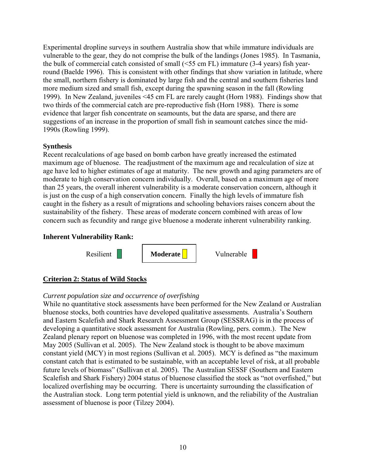Experimental dropline surveys in southern Australia show that while immature individuals are vulnerable to the gear, they do not comprise the bulk of the landings (Jones 1985). In Tasmania, the bulk of commercial catch consisted of small (<55 cm FL) immature (3-4 years) fish yearround (Baelde 1996). This is consistent with other findings that show variation in latitude, where the small, northern fishery is dominated by large fish and the central and southern fisheries land more medium sized and small fish, except during the spawning season in the fall (Rowling 1999). In New Zealand, juveniles <45 cm FL are rarely caught (Horn 1988). Findings show that two thirds of the commercial catch are pre-reproductive fish (Horn 1988). There is some evidence that larger fish concentrate on seamounts, but the data are sparse, and there are suggestions of an increase in the proportion of small fish in seamount catches since the mid-1990s (Rowling 1999).

#### **Synthesis**

Recent recalculations of age based on bomb carbon have greatly increased the estimated maximum age of bluenose. The readjustment of the maximum age and recalculation of size at age have led to higher estimates of age at maturity. The new growth and aging parameters are of moderate to high conservation concern individually. Overall, based on a maximum age of more than 25 years, the overall inherent vulnerability is a moderate conservation concern, although it is just on the cusp of a high conservation concern. Finally the high levels of immature fish caught in the fishery as a result of migrations and schooling behaviors raises concern about the sustainability of the fishery. These areas of moderate concern combined with areas of low concern such as fecundity and range give bluenose a moderate inherent vulnerability ranking.

#### **Inherent Vulnerability Rank:**



## **Criterion 2: Status of Wild Stocks**

## *Current population size and occurrence of overfishing*

While no quantitative stock assessments have been performed for the New Zealand or Australian bluenose stocks, both countries have developed qualitative assessments. Australia's Southern and Eastern Scalefish and Shark Research Assessment Group (SESSRAG) is in the process of developing a quantitative stock assessment for Australia (Rowling, pers. comm.). The New Zealand plenary report on bluenose was completed in 1996, with the most recent update from May 2005 (Sullivan et al. 2005). The New Zealand stock is thought to be above maximum constant yield (MCY) in most regions (Sullivan et al. 2005). MCY is defined as "the maximum constant catch that is estimated to be sustainable, with an acceptable level of risk, at all probable future levels of biomass" (Sullivan et al. 2005). The Australian SESSF (Southern and Eastern Scalefish and Shark Fishery) 2004 status of bluenose classified the stock as "not overfished," but localized overfishing may be occurring. There is uncertainty surrounding the classification of the Australian stock. Long term potential yield is unknown, and the reliability of the Australian assessment of bluenose is poor (Tilzey 2004).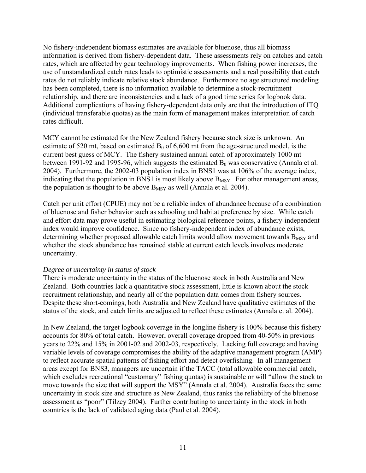No fishery-independent biomass estimates are available for bluenose, thus all biomass information is derived from fishery-dependent data. These assessments rely on catches and catch rates, which are affected by gear technology improvements. When fishing power increases, the use of unstandardized catch rates leads to optimistic assessments and a real possibility that catch rates do not reliably indicate relative stock abundance. Furthermore no age structured modeling has been completed, there is no information available to determine a stock-recruitment relationship, and there are inconsistencies and a lack of a good time series for logbook data. Additional complications of having fishery-dependent data only are that the introduction of ITQ (individual transferable quotas) as the main form of management makes interpretation of catch rates difficult.

MCY cannot be estimated for the New Zealand fishery because stock size is unknown. An estimate of 520 mt, based on estimated  $B_0$  of 6,600 mt from the age-structured model, is the current best guess of MCY. The fishery sustained annual catch of approximately 1000 mt between 1991-92 and 1995-96, which suggests the estimated  $B_0$  was conservative (Annala et al. 2004). Furthermore, the 2002-03 population index in BNS1 was at 106% of the average index, indicating that the population in BNS1 is most likely above  $B_{MSY}$ . For other management areas, the population is thought to be above  $B_{MSY}$  as well (Annala et al. 2004).

Catch per unit effort (CPUE) may not be a reliable index of abundance because of a combination of bluenose and fisher behavior such as schooling and habitat preference by size. While catch and effort data may prove useful in estimating biological reference points, a fishery-independent index would improve confidence. Since no fishery-independent index of abundance exists, determining whether proposed allowable catch limits would allow movement towards  $B_{MSY}$  and whether the stock abundance has remained stable at current catch levels involves moderate uncertainty.

#### *Degree of uncertainty in status of stock*

There is moderate uncertainty in the status of the bluenose stock in both Australia and New Zealand. Both countries lack a quantitative stock assessment, little is known about the stock recruitment relationship, and nearly all of the population data comes from fishery sources. Despite these short-comings, both Australia and New Zealand have qualitative estimates of the status of the stock, and catch limits are adjusted to reflect these estimates (Annala et al. 2004).

In New Zealand, the target logbook coverage in the longline fishery is 100% because this fishery accounts for 80% of total catch. However, overall coverage dropped from 40-50% in previous years to 22% and 15% in 2001-02 and 2002-03, respectively. Lacking full coverage and having variable levels of coverage compromises the ability of the adaptive management program (AMP) to reflect accurate spatial patterns of fishing effort and detect overfishing. In all management areas except for BNS3, managers are uncertain if the TACC (total allowable commercial catch, which excludes recreational "customary" fishing quotas) is sustainable or will "allow the stock to move towards the size that will support the MSY" (Annala et al. 2004). Australia faces the same uncertainty in stock size and structure as New Zealand, thus ranks the reliability of the bluenose assessment as "poor" (Tilzey 2004). Further contributing to uncertainty in the stock in both countries is the lack of validated aging data (Paul et al. 2004).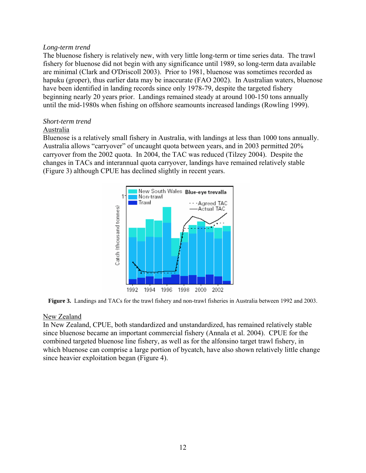#### *Long-term trend*

The bluenose fishery is relatively new, with very little long-term or time series data. The trawl fishery for bluenose did not begin with any significance until 1989, so long-term data available are minimal (Clark and O'Driscoll 2003). Prior to 1981, bluenose was sometimes recorded as hapuku (groper), thus earlier data may be inaccurate (FAO 2002). In Australian waters, bluenose have been identified in landing records since only 1978-79, despite the targeted fishery beginning nearly 20 years prior. Landings remained steady at around 100-150 tons annually until the mid-1980s when fishing on offshore seamounts increased landings (Rowling 1999).

#### *Short-term trend*

#### Australia

Bluenose is a relatively small fishery in Australia, with landings at less than 1000 tons annually. Australia allows "carryover" of uncaught quota between years, and in 2003 permitted 20% carryover from the 2002 quota. In 2004, the TAC was reduced (Tilzey 2004). Despite the changes in TACs and interannual quota carryover, landings have remained relatively stable (Figure 3) although CPUE has declined slightly in recent years.



**Figure 3.** Landings and TACs for the trawl fishery and non-trawl fisheries in Australia between 1992 and 2003.

#### New Zealand

In New Zealand, CPUE, both standardized and unstandardized, has remained relatively stable since bluenose became an important commercial fishery (Annala et al. 2004). CPUE for the combined targeted bluenose line fishery, as well as for the alfonsino target trawl fishery, in which bluenose can comprise a large portion of bycatch, have also shown relatively little change since heavier exploitation began (Figure 4).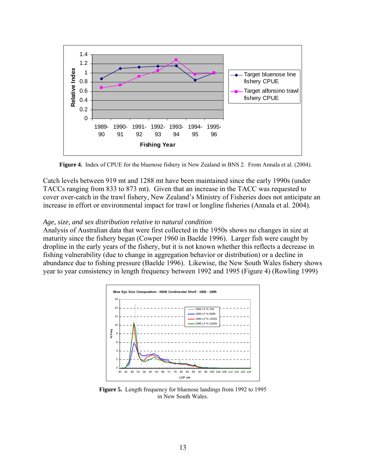

**Figure 4.** Index of CPUE for the bluenose fishery in New Zealand in BNS 2. From Annala et al. (2004).

Catch levels between 919 mt and 1288 mt have been maintained since the early 1990s (under TACCs ranging from 833 to 873 mt). Given that an increase in the TACC was requested to cover over-catch in the trawl fishery, New Zealand's Ministry of Fisheries does not anticipate an increase in effort or environmental impact for trawl or longline fisheries (Annala et al. 2004).

#### *Age, size, and sex distribution relative to natural condition*

Analysis of Australian data that were first collected in the 1950s shows no changes in size at maturity since the fishery began (Cowper 1960 in Baelde 1996). Larger fish were caught by dropline in the early years of the fishery, but it is not known whether this reflects a decrease in fishing vulnerability (due to change in aggregation behavior or distribution) or a decline in abundance due to fishing pressure (Baelde 1996). Likewise, the New South Wales fishery shows year to year consistency in length frequency between 1992 and 1995 (Figure 4) (Rowling 1999)



**Figure 5.** Length frequency for bluenose landings from 1992 to 1995 in New South Wales.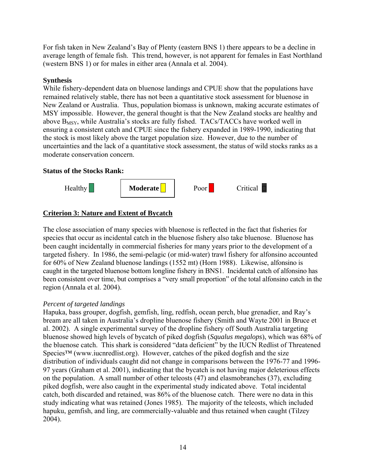For fish taken in New Zealand's Bay of Plenty (eastern BNS 1) there appears to be a decline in average length of female fish. This trend, however, is not apparent for females in East Northland (western BNS 1) or for males in either area (Annala et al. 2004).

#### **Synthesis**

While fishery-dependent data on bluenose landings and CPUE show that the populations have remained relatively stable, there has not been a quantitative stock assessment for bluenose in New Zealand or Australia. Thus, population biomass is unknown, making accurate estimates of MSY impossible. However, the general thought is that the New Zealand stocks are healthy and above  $B_{MSY}$ , while Australia's stocks are fully fished. TACs/TACCs have worked well in ensuring a consistent catch and CPUE since the fishery expanded in 1989-1990, indicating that the stock is most likely above the target population size. However, due to the number of uncertainties and the lack of a quantitative stock assessment, the status of wild stocks ranks as a moderate conservation concern.

#### **Status of the Stocks Rank:**



#### **Criterion 3: Nature and Extent of Bycatch**

The close association of many species with bluenose is reflected in the fact that fisheries for species that occur as incidental catch in the bluenose fishery also take bluenose. Bluenose has been caught incidentally in commercial fisheries for many years prior to the development of a targeted fishery. In 1986, the semi-pelagic (or mid-water) trawl fishery for alfonsino accounted for 60% of New Zealand bluenose landings (1552 mt) (Horn 1988). Likewise, alfonsino is caught in the targeted bluenose bottom longline fishery in BNS1. Incidental catch of alfonsino has been consistent over time, but comprises a "very small proportion" of the total alfonsino catch in the region (Annala et al. 2004).

#### *Percent of targeted landings*

Hapuka, bass grouper, dogfish, gemfish, ling, redfish, ocean perch, blue grenadier, and Ray's bream are all taken in Australia's dropline bluenose fishery (Smith and Wayte 2001 in Bruce et al. 2002). A single experimental survey of the dropline fishery off South Australia targeting bluenose showed high levels of bycatch of piked dogfish (*Squalus megalops*), which was 68% of the bluenose catch. This shark is considered "data deficient" by the IUCN Redlist of Threatened  $\text{Species}^{\text{TM}}$  (www.iucnredlist.org). However, catches of the piked dogfish and the size distribution of individuals caught did not change in comparisons between the 1976-77 and 1996- 97 years (Graham et al. 2001), indicating that the bycatch is not having major deleterious effects on the population. A small number of other teleosts (47) and elasmobranches (37), excluding piked dogfish, were also caught in the experimental study indicated above. Total incidental catch, both discarded and retained, was 86% of the bluenose catch. There were no data in this study indicating what was retained (Jones 1985). The majority of the teleosts, which included hapuku, gemfish, and ling, are commercially-valuable and thus retained when caught (Tilzey 2004).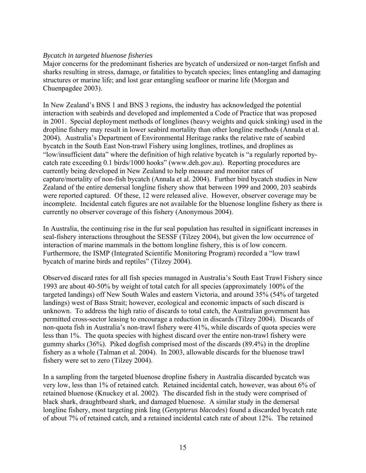#### *Bycatch in targeted bluenose fisheries*

Major concerns for the predominant fisheries are bycatch of undersized or non-target finfish and sharks resulting in stress, damage, or fatalities to bycatch species; lines entangling and damaging structures or marine life; and lost gear entangling seafloor or marine life (Morgan and Chuenpagdee 2003).

In New Zealand's BNS 1 and BNS 3 regions, the industry has acknowledged the potential interaction with seabirds and developed and implemented a Code of Practice that was proposed in 2001. Special deployment methods of longlines (heavy weights and quick sinking) used in the dropline fishery may result in lower seabird mortality than other longline methods (Annala et al. 2004). Australia's Department of Environmental Heritage ranks the relative rate of seabird bycatch in the South East Non-trawl Fishery using longlines, trotlines, and droplines as "low/insufficient data" where the definition of high relative bycatch is "a regularly reported bycatch rate exceeding 0.1 birds/1000 hooks" (www.deh.gov.au). Reporting procedures are currently being developed in New Zealand to help measure and monitor rates of capture/mortality of non-fish bycatch (Annala et al. 2004). Further bird bycatch studies in New Zealand of the entire demersal longline fishery show that between 1999 and 2000, 203 seabirds were reported captured. Of these, 12 were released alive. However, observer coverage may be incomplete. Incidental catch figures are not available for the bluenose longline fishery as there is currently no observer coverage of this fishery (Anonymous 2004).

In Australia, the continuing rise in the fur seal population has resulted in significant increases in seal-fishery interactions throughout the SESSF (Tilzey 2004), but given the low occurrence of interaction of marine mammals in the bottom longline fishery, this is of low concern. Furthermore, the ISMP (Integrated Scientific Monitoring Program) recorded a "low trawl bycatch of marine birds and reptiles" (Tilzey 2004).

Observed discard rates for all fish species managed in Australia's South East Trawl Fishery since 1993 are about 40-50% by weight of total catch for all species (approximately 100% of the targeted landings) off New South Wales and eastern Victoria, and around 35% (54% of targeted landings) west of Bass Strait; however, ecological and economic impacts of such discard is unknown. To address the high ratio of discards to total catch, the Australian government has permitted cross-sector leasing to encourage a reduction in discards (Tilzey 2004). Discards of non-quota fish in Australia's non-trawl fishery were 41%, while discards of quota species were less than 1%. The quota species with highest discard over the entire non-trawl fishery were gummy sharks (36%). Piked dogfish comprised most of the discards (89.4%) in the dropline fishery as a whole (Talman et al. 2004). In 2003, allowable discards for the bluenose trawl fishery were set to zero (Tilzey 2004).

In a sampling from the targeted bluenose dropline fishery in Australia discarded bycatch was very low, less than 1% of retained catch. Retained incidental catch, however, was about 6% of retained bluenose (Knuckey et al. 2002). The discarded fish in the study were comprised of black shark, draughtboard shark, and damaged bluenose. A similar study in the demersal longline fishery, most targeting pink ling (*Genypterus blacodes*) found a discarded bycatch rate of about 7% of retained catch, and a retained incidental catch rate of about 12%. The retained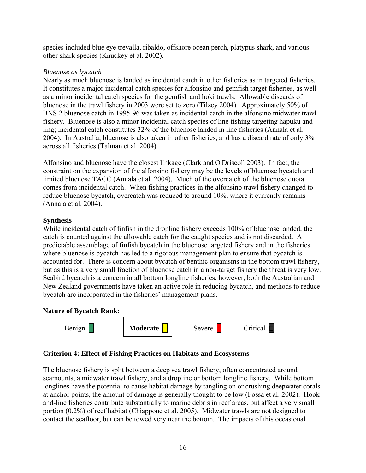species included blue eye trevalla, ribaldo, offshore ocean perch, platypus shark, and various other shark species (Knuckey et al. 2002).

#### *Bluenose as bycatch*

Nearly as much bluenose is landed as incidental catch in other fisheries as in targeted fisheries. It constitutes a major incidental catch species for alfonsino and gemfish target fisheries, as well as a minor incidental catch species for the gemfish and hoki trawls. Allowable discards of bluenose in the trawl fishery in 2003 were set to zero (Tilzey 2004). Approximately 50% of BNS 2 bluenose catch in 1995-96 was taken as incidental catch in the alfonsino midwater trawl fishery. Bluenose is also a minor incidental catch species of line fishing targeting hapuku and ling; incidental catch constitutes 32% of the bluenose landed in line fisheries (Annala et al. 2004). In Australia, bluenose is also taken in other fisheries, and has a discard rate of only 3% across all fisheries (Talman et al. 2004).

Alfonsino and bluenose have the closest linkage (Clark and O'Driscoll 2003). In fact, the constraint on the expansion of the alfonsino fishery may be the levels of bluenose bycatch and limited bluenose TACC (Annala et al. 2004). Much of the overcatch of the bluenose quota comes from incidental catch. When fishing practices in the alfonsino trawl fishery changed to reduce bluenose bycatch, overcatch was reduced to around 10%, where it currently remains (Annala et al. 2004).

#### **Synthesis**

While incidental catch of finfish in the dropline fishery exceeds 100% of bluenose landed, the catch is counted against the allowable catch for the caught species and is not discarded. A predictable assemblage of finfish bycatch in the bluenose targeted fishery and in the fisheries where bluenose is bycatch has led to a rigorous management plan to ensure that bycatch is accounted for. There is concern about bycatch of benthic organisms in the bottom trawl fishery, but as this is a very small fraction of bluenose catch in a non-target fishery the threat is very low. Seabird bycatch is a concern in all bottom longline fisheries; however, both the Australian and New Zealand governments have taken an active role in reducing bycatch, and methods to reduce bycatch are incorporated in the fisheries' management plans.



| Benign | Moderate | Severe | <b>Tritical</b> |
|--------|----------|--------|-----------------|
|--------|----------|--------|-----------------|

#### **Criterion 4: Effect of Fishing Practices on Habitats and Ecosystems**

The bluenose fishery is split between a deep sea trawl fishery, often concentrated around seamounts, a midwater trawl fishery, and a dropline or bottom longline fishery. While bottom longlines have the potential to cause habitat damage by tangling on or crushing deepwater corals at anchor points, the amount of damage is generally thought to be low (Fossa et al. 2002). Hookand-line fisheries contribute substantially to marine debris in reef areas, but affect a very small portion (0.2%) of reef habitat (Chiappone et al. 2005). Midwater trawls are not designed to contact the seafloor, but can be towed very near the bottom. The impacts of this occasional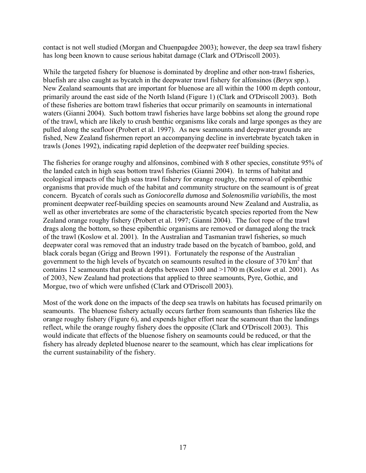contact is not well studied (Morgan and Chuenpagdee 2003); however, the deep sea trawl fishery has long been known to cause serious habitat damage (Clark and O'Driscoll 2003).

While the targeted fishery for bluenose is dominated by dropline and other non-trawl fisheries, bluefish are also caught as bycatch in the deepwater trawl fishery for alfonsinos (*Beryx* spp.). New Zealand seamounts that are important for bluenose are all within the 1000 m depth contour, primarily around the east side of the North Island (Figure 1) (Clark and O'Driscoll 2003). Both of these fisheries are bottom trawl fisheries that occur primarily on seamounts in international waters (Gianni 2004). Such bottom trawl fisheries have large bobbins set along the ground rope of the trawl, which are likely to crush benthic organisms like corals and large sponges as they are pulled along the seafloor (Probert et al. 1997). As new seamounts and deepwater grounds are fished, New Zealand fishermen report an accompanying decline in invertebrate bycatch taken in trawls (Jones 1992), indicating rapid depletion of the deepwater reef building species.

The fisheries for orange roughy and alfonsinos, combined with 8 other species, constitute 95% of the landed catch in high seas bottom trawl fisheries (Gianni 2004). In terms of habitat and ecological impacts of the high seas trawl fishery for orange roughy, the removal of epibenthic organisms that provide much of the habitat and community structure on the seamount is of great concern. Bycatch of corals such as *Goniocorella dumosa* and *Solenosmilia variabilis*, the most prominent deepwater reef-building species on seamounts around New Zealand and Australia, as well as other invertebrates are some of the characteristic bycatch species reported from the New Zealand orange roughy fishery (Probert et al. 1997; Gianni 2004). The foot rope of the trawl drags along the bottom, so these epibenthic organisms are removed or damaged along the track of the trawl (Koslow et al. 2001). In the Australian and Tasmanian trawl fisheries, so much deepwater coral was removed that an industry trade based on the bycatch of bamboo, gold, and black corals began (Grigg and Brown 1991). Fortunately the response of the Australian government to the high levels of bycatch on seamounts resulted in the closure of  $370 \text{ km}^2$  that contains 12 seamounts that peak at depths between 1300 and >1700 m (Koslow et al. 2001). As of 2003, New Zealand had protections that applied to three seamounts, Pyre, Gothic, and Morgue, two of which were unfished (Clark and O'Driscoll 2003).

Most of the work done on the impacts of the deep sea trawls on habitats has focused primarily on seamounts. The bluenose fishery actually occurs farther from seamounts than fisheries like the orange roughy fishery (Figure 6), and expends higher effort near the seamount than the landings reflect, while the orange roughy fishery does the opposite (Clark and O'Driscoll 2003). This would indicate that effects of the bluenose fishery on seamounts could be reduced, or that the fishery has already depleted bluenose nearer to the seamount, which has clear implications for the current sustainability of the fishery.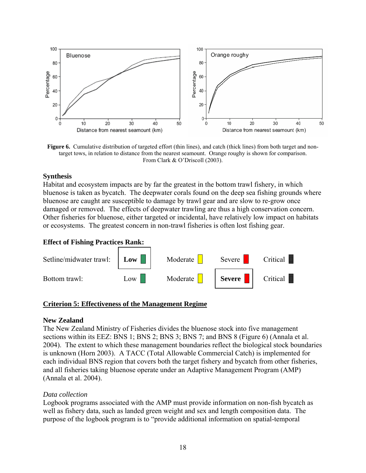

**Figure 6.** Cumulative distribution of targeted effort (thin lines), and catch (thick lines) from both target and nontarget tows, in relation to distance from the nearest seamount. Orange roughy is shown for comparison. From Clark & O'Driscoll (2003).

#### **Synthesis**

Habitat and ecosystem impacts are by far the greatest in the bottom trawl fishery, in which bluenose is taken as bycatch. The deepwater corals found on the deep sea fishing grounds where bluenose are caught are susceptible to damage by trawl gear and are slow to re-grow once damaged or removed. The effects of deepwater trawling are thus a high conservation concern. Other fisheries for bluenose, either targeted or incidental, have relatively low impact on habitats or ecosystems. The greatest concern in non-trawl fisheries is often lost fishing gear.

#### **Effect of Fishing Practices Rank:**



#### **Criterion 5: Effectiveness of the Management Regime**

#### **New Zealand**

The New Zealand Ministry of Fisheries divides the bluenose stock into five management sections within its EEZ: BNS 1; BNS 2; BNS 3; BNS 7; and BNS 8 (Figure 6) (Annala et al. 2004). The extent to which these management boundaries reflect the biological stock boundaries is unknown (Horn 2003). A TACC (Total Allowable Commercial Catch) is implemented for each individual BNS region that covers both the target fishery and bycatch from other fisheries, and all fisheries taking bluenose operate under an Adaptive Management Program (AMP) (Annala et al. 2004).

#### *Data collection*

Logbook programs associated with the AMP must provide information on non-fish bycatch as well as fishery data, such as landed green weight and sex and length composition data. The purpose of the logbook program is to "provide additional information on spatial-temporal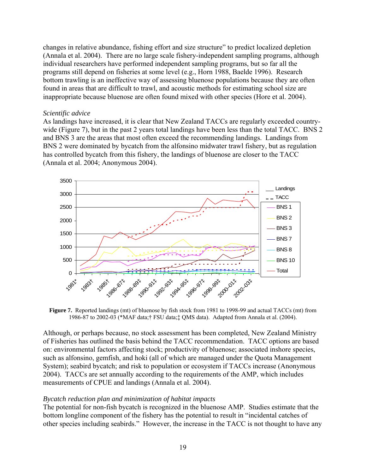changes in relative abundance, fishing effort and size structure" to predict localized depletion (Annala et al. 2004). There are no large scale fishery-independent sampling programs, although individual researchers have performed independent sampling programs, but so far all the programs still depend on fisheries at some level (e.g., Horn 1988, Baelde 1996). Research bottom trawling is an ineffective way of assessing bluenose populations because they are often found in areas that are difficult to trawl, and acoustic methods for estimating school size are inappropriate because bluenose are often found mixed with other species (Hore et al. 2004).

#### *Scientific advice*

As landings have increased, it is clear that New Zealand TACCs are regularly exceeded countrywide (Figure 7), but in the past 2 years total landings have been less than the total TACC. BNS 2 and BNS 3 are the areas that most often exceed the recommending landings. Landings from BNS 2 were dominated by bycatch from the alfonsino midwater trawl fishery, but as regulation has controlled bycatch from this fishery, the landings of bluenose are closer to the TACC (Annala et al. 2004; Anonymous 2004).



**Figure 7.** Reported landings (mt) of bluenose by fish stock from 1981 to 1998-99 and actual TACCs (mt) from 1986-87 to 2002-03 (\*MAF data;† FSU data;‡ QMS data). Adapted from Annala et al. (2004).

Although, or perhaps because, no stock assessment has been completed, New Zealand Ministry of Fisheries has outlined the basis behind the TACC recommendation. TACC options are based on: environmental factors affecting stock; productivity of bluenose; associated inshore species, such as alfonsino, gemfish, and hoki (all of which are managed under the Quota Management System); seabird bycatch; and risk to population or ecosystem if TACCs increase (Anonymous 2004). TACCs are set annually according to the requirements of the AMP, which includes measurements of CPUE and landings (Annala et al. 2004).

#### *Bycatch reduction plan and minimization of habitat impacts*

The potential for non-fish bycatch is recognized in the bluenose AMP. Studies estimate that the bottom longline component of the fishery has the potential to result in "incidental catches of other species including seabirds." However, the increase in the TACC is not thought to have any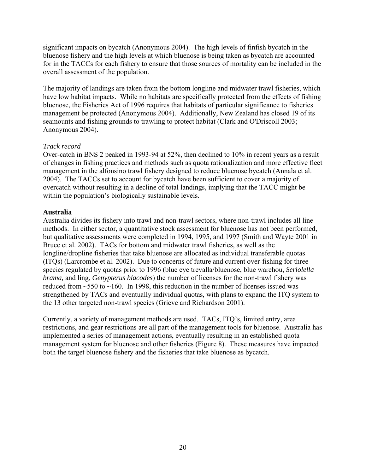significant impacts on bycatch (Anonymous 2004). The high levels of finfish bycatch in the bluenose fishery and the high levels at which bluenose is being taken as bycatch are accounted for in the TACCs for each fishery to ensure that those sources of mortality can be included in the overall assessment of the population.

The majority of landings are taken from the bottom longline and midwater trawl fisheries, which have low habitat impacts. While no habitats are specifically protected from the effects of fishing bluenose, the Fisheries Act of 1996 requires that habitats of particular significance to fisheries management be protected (Anonymous 2004). Additionally, New Zealand has closed 19 of its seamounts and fishing grounds to trawling to protect habitat (Clark and O'Driscoll 2003; Anonymous 2004).

#### *Track record*

Over-catch in BNS 2 peaked in 1993-94 at 52%, then declined to 10% in recent years as a result of changes in fishing practices and methods such as quota rationalization and more effective fleet management in the alfonsino trawl fishery designed to reduce bluenose bycatch (Annala et al. 2004). The TACCs set to account for bycatch have been sufficient to cover a majority of overcatch without resulting in a decline of total landings, implying that the TACC might be within the population's biologically sustainable levels.

#### **Australia**

Australia divides its fishery into trawl and non-trawl sectors, where non-trawl includes all line methods. In either sector, a quantitative stock assessment for bluenose has not been performed, but qualitative assessments were completed in 1994, 1995, and 1997 (Smith and Wayte 2001 in Bruce et al. 2002). TACs for bottom and midwater trawl fisheries, as well as the longline/dropline fisheries that take bluenose are allocated as individual transferable quotas (ITQs) (Larcrombe et al. 2002). Due to concerns of future and current over-fishing for three species regulated by quotas prior to 1996 (blue eye trevalla/bluenose, blue warehou, *Seriolella brama,* and ling, *Genypterus blacodes*) the number of licenses for the non-trawl fishery was reduced from  $\sim$ 550 to  $\sim$ 160. In 1998, this reduction in the number of licenses issued was strengthened by TACs and eventually individual quotas, with plans to expand the ITQ system to the 13 other targeted non-trawl species (Grieve and Richardson 2001).

Currently, a variety of management methods are used. TACs, ITQ's, limited entry, area restrictions, and gear restrictions are all part of the management tools for bluenose. Australia has implemented a series of management actions, eventually resulting in an established quota management system for bluenose and other fisheries (Figure 8). These measures have impacted both the target bluenose fishery and the fisheries that take bluenose as bycatch.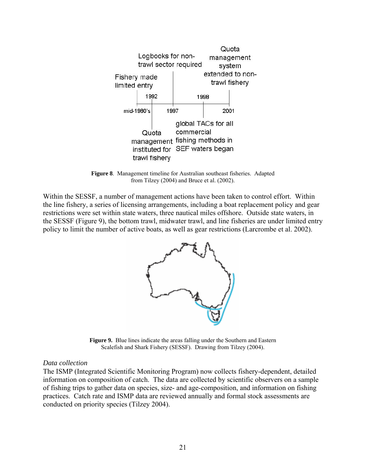

**Figure 8**. Management timeline for Australian southeast fisheries. Adapted from Tilzey (2004) and Bruce et al. (2002).

Within the SESSF, a number of management actions have been taken to control effort. Within the line fishery, a series of licensing arrangements, including a boat replacement policy and gear restrictions were set within state waters, three nautical miles offshore. Outside state waters, in the SESSF (Figure 9), the bottom trawl, midwater trawl, and line fisheries are under limited entry policy to limit the number of active boats, as well as gear restrictions (Larcrombe et al. 2002).



**Figure 9.** Blue lines indicate the areas falling under the Southern and Eastern Scalefish and Shark Fishery (SESSF). Drawing from Tilzey (2004).

#### *Data collection*

The ISMP (Integrated Scientific Monitoring Program) now collects fishery-dependent, detailed information on composition of catch. The data are collected by scientific observers on a sample of fishing trips to gather data on species, size- and age-composition, and information on fishing practices. Catch rate and ISMP data are reviewed annually and formal stock assessments are conducted on priority species (Tilzey 2004).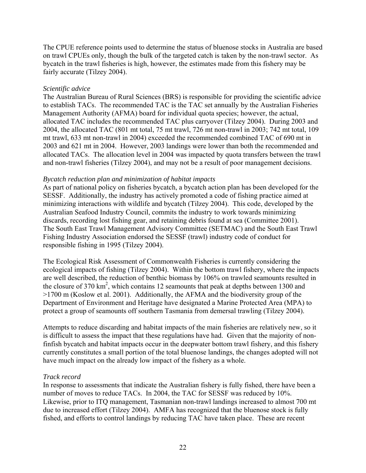The CPUE reference points used to determine the status of bluenose stocks in Australia are based on trawl CPUEs only, though the bulk of the targeted catch is taken by the non-trawl sector. As bycatch in the trawl fisheries is high, however, the estimates made from this fishery may be fairly accurate (Tilzey 2004).

#### *Scientific advice*

The Australian Bureau of Rural Sciences (BRS) is responsible for providing the scientific advice to establish TACs. The recommended TAC is the TAC set annually by the Australian Fisheries Management Authority (AFMA) board for individual quota species; however, the actual, allocated TAC includes the recommended TAC plus carryover (Tilzey 2004). During 2003 and 2004, the allocated TAC (801 mt total, 75 mt trawl, 726 mt non-trawl in 2003; 742 mt total, 109 mt trawl, 633 mt non-trawl in 2004) exceeded the recommended combined TAC of 690 mt in 2003 and 621 mt in 2004. However, 2003 landings were lower than both the recommended and allocated TACs. The allocation level in 2004 was impacted by quota transfers between the trawl and non-trawl fisheries (Tilzey 2004), and may not be a result of poor management decisions.

#### *Bycatch reduction plan and minimization of habitat impacts*

As part of national policy on fisheries bycatch, a bycatch action plan has been developed for the SESSF. Additionally, the industry has actively promoted a code of fishing practice aimed at minimizing interactions with wildlife and bycatch (Tilzey 2004). This code, developed by the Australian Seafood Industry Council, commits the industry to work towards minimizing discards, recording lost fishing gear, and retaining debris found at sea (Committee 2001). The South East Trawl Management Advisory Committee (SETMAC) and the South East Trawl Fishing Industry Association endorsed the SESSF (trawl) industry code of conduct for responsible fishing in 1995 (Tilzey 2004).

The Ecological Risk Assessment of Commonwealth Fisheries is currently considering the ecological impacts of fishing (Tilzey 2004). Within the bottom trawl fishery, where the impacts are well described, the reduction of benthic biomass by 106% on trawled seamounts resulted in the closure of 370 km<sup>2</sup>, which contains 12 seamounts that peak at depths between 1300 and >1700 m (Koslow et al. 2001). Additionally, the AFMA and the biodiversity group of the Department of Environment and Heritage have designated a Marine Protected Area (MPA) to protect a group of seamounts off southern Tasmania from demersal trawling (Tilzey 2004).

Attempts to reduce discarding and habitat impacts of the main fisheries are relatively new, so it is difficult to assess the impact that these regulations have had. Given that the majority of nonfinfish bycatch and habitat impacts occur in the deepwater bottom trawl fishery, and this fishery currently constitutes a small portion of the total bluenose landings, the changes adopted will not have much impact on the already low impact of the fishery as a whole.

#### *Track record*

In response to assessments that indicate the Australian fishery is fully fished, there have been a number of moves to reduce TACs. In 2004, the TAC for SESSF was reduced by 10%. Likewise, prior to ITQ management, Tasmanian non-trawl landings increased to almost 700 mt due to increased effort (Tilzey 2004). AMFA has recognized that the bluenose stock is fully fished, and efforts to control landings by reducing TAC have taken place. These are recent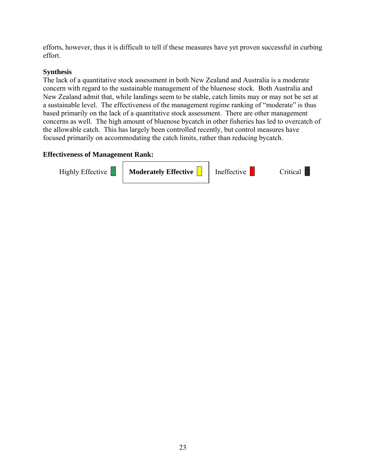efforts, however, thus it is difficult to tell if these measures have yet proven successful in curbing effort.

#### **Synthesis**

The lack of a quantitative stock assessment in both New Zealand and Australia is a moderate concern with regard to the sustainable management of the bluenose stock. Both Australia and New Zealand admit that, while landings seem to be stable, catch limits may or may not be set at a sustainable level. The effectiveness of the management regime ranking of "moderate" is thus based primarily on the lack of a quantitative stock assessment. There are other management concerns as well. The high amount of bluenose bycatch in other fisheries has led to overcatch of the allowable catch. This has largely been controlled recently, but control measures have focused primarily on accommodating the catch limits, rather than reducing bycatch.

#### **Effectiveness of Management Rank:**

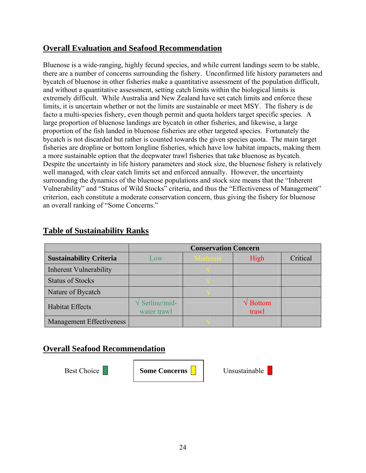## **Overall Evaluation and Seafood Recommendation**

Bluenose is a wide-ranging, highly fecund species, and while current landings seem to be stable, there are a number of concerns surrounding the fishery. Unconfirmed life history parameters and bycatch of bluenose in other fisheries make a quantitative assessment of the population difficult, and without a quantitative assessment, setting catch limits within the biological limits is extremely difficult. While Australia and New Zealand have set catch limits and enforce these limits, it is uncertain whether or not the limits are sustainable or meet MSY. The fishery is de facto a multi-species fishery, even though permit and quota holders target specific species. A large proportion of bluenose landings are bycatch in other fisheries, and likewise, a large proportion of the fish landed in bluenose fisheries are other targeted species. Fortunately the bycatch is not discarded but rather is counted towards the given species quota. The main target fisheries are dropline or bottom longline fisheries, which have low habitat impacts, making them a more sustainable option that the deepwater trawl fisheries that take bluenose as bycatch. Despite the uncertainty in life history parameters and stock size, the bluenose fishery is relatively well managed, with clear catch limits set and enforced annually. However, the uncertainty surrounding the dynamics of the bluenose populations and stock size means that the "Inherent Vulnerability" and "Status of Wild Stocks" criteria, and thus the "Effectiveness of Management" criterion, each constitute a moderate conservation concern, thus giving the fishery for bluenose an overall ranking of "Some Concerns."

|                                 | <b>Conservation Concern</b>            |          |                                 |          |
|---------------------------------|----------------------------------------|----------|---------------------------------|----------|
| <b>Sustainability Criteria</b>  | Low                                    | Moderate | High                            | Critical |
| <b>Inherent Vulnerability</b>   |                                        |          |                                 |          |
| <b>Status of Stocks</b>         |                                        |          |                                 |          |
| Nature of Bycatch               |                                        |          |                                 |          |
| <b>Habitat Effects</b>          | $\sqrt{\text{Setline}}$<br>water trawl |          | $\sqrt{\text{Bottom}}$<br>trawl |          |
| <b>Management Effectiveness</b> |                                        |          |                                 |          |

## **Table of Sustainability Ranks**

## **Overall Seafood Recommendation**

Best Choice **Business Concerns | Unsustainable**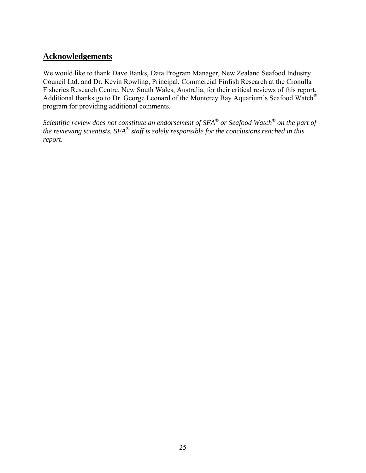## **Acknowledgements**

We would like to thank Dave Banks, Data Program Manager, New Zealand Seafood Industry Council Ltd. and Dr. Kevin Rowling, Principal, Commercial Finfish Research at the Cronulla Fisheries Research Centre, New South Wales, Australia, for their critical reviews of this report. Additional thanks go to Dr. George Leonard of the Monterey Bay Aquarium's Seafood Watch® program for providing additional comments.

*Scientific review does not constitute an endorsement of SFA® or Seafood Watch® on the part of the reviewing scientists. SFA® staff is solely responsible for the conclusions reached in this report.*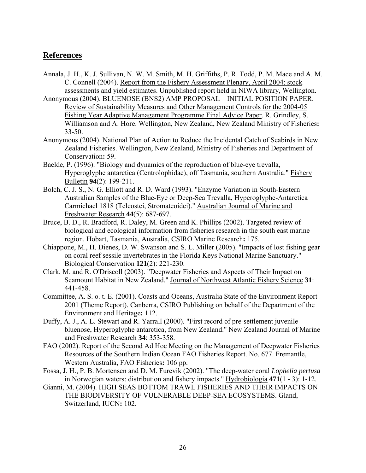## **References**

- Annala, J. H., K. J. Sullivan, N. W. M. Smith, M. H. Griffiths, P. R. Todd, P. M. Mace and A. M. C. Connell (2004). Report from the Fishery Assessment Plenary, April 2004: stock assessments and yield estimates. Unpublished report held in NIWA library, Wellington.
- Anonymous (2004). BLUENOSE (BNS2) AMP PROPOSAL INITIAL POSITION PAPER. Review of Sustainability Measures and Other Management Controls for the 2004-05 Fishing Year Adaptive Management Programme Final Advice Paper. R. Grindley, S. Williamson and A. Hore. Wellington, New Zealand, New Zealand Ministry of Fisheries**:**  33-50.
- Anonymous (2004). National Plan of Action to Reduce the Incidental Catch of Seabirds in New Zealand Fisheries. Wellington, New Zealand, Ministry of Fisheries and Department of Conservation**:** 59.
- Baelde, P. (1996). "Biology and dynamics of the reproduction of blue-eye trevalla, Hyperoglyphe antarctica (Centrolophidae), off Tasmania, southern Australia." Fishery Bulletin **94**(2): 199-211.
- Bolch, C. J. S., N. G. Elliott and R. D. Ward (1993). "Enzyme Variation in South-Eastern Australian Samples of the Blue-Eye or Deep-Sea Trevalla, Hyperoglyphe-Antarctica Carmichael 1818 (Teleostei, Stromateoidei)." Australian Journal of Marine and Freshwater Research **44**(5): 687-697.
- Bruce, B. D., R. Bradford, R. Daley, M. Green and K. Phillips (2002). Targeted review of biological and ecological information from fisheries research in the south east marine region. Hobart, Tasmania, Australia, CSIRO Marine Research**:** 175.
- Chiappone, M., H. Dienes, D. W. Swanson and S. L. Miller (2005). "Impacts of lost fishing gear on coral reef sessile invertebrates in the Florida Keys National Marine Sanctuary." Biological Conservation **121**(2): 221-230.
- Clark, M. and R. O'Driscoll (2003). "Deepwater Fisheries and Aspects of Their Impact on Seamount Habitat in New Zealand." Journal of Northwest Atlantic Fishery Science **31**: 441-458.
- Committee, A. S. o. t. E. (2001). Coasts and Oceans, Australia State of the Environment Report 2001 (Theme Report). Canberra, CSIRO Publishing on behalf of the Department of the Environment and Heritage**:** 112.
- Duffy, A. J., A. L. Stewart and R. Yarrall (2000). "First record of pre-settlement juvenile bluenose, Hyperoglyphe antarctica, from New Zealand." New Zealand Journal of Marine and Freshwater Research **34**: 353-358.
- FAO (2002). Report of the Second Ad Hoc Meeting on the Management of Deepwater Fisheries Resources of the Southern Indian Ocean FAO Fisheries Report. No. 677. Fremantle, Western Australia, FAO Fisheries**:** 106 pp.
- Fossa, J. H., P. B. Mortensen and D. M. Furevik (2002). "The deep-water coral *Lophelia pertusa* in Norwegian waters: distribution and fishery impacts." Hydrobiologia **471**(1 - 3): 1-12.
- Gianni, M. (2004). HIGH SEAS BOTTOM TRAWL FISHERIES AND THEIR IMPACTS ON THE BIODIVERSITY OF VULNERABLE DEEP-SEA ECOSYSTEMS. Gland, Switzerland, IUCN**:** 102.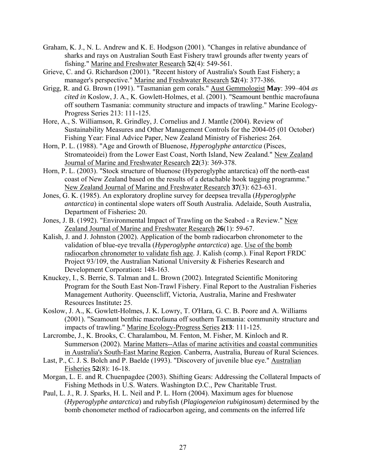- Graham, K. J., N. L. Andrew and K. E. Hodgson (2001). "Changes in relative abundance of sharks and rays on Australian South East Fishery trawl grounds after twenty years of fishing." Marine and Freshwater Research **52**(4): 549-561.
- Grieve, C. and G. Richardson (2001). "Recent history of Australia's South East Fishery; a manager's perspective." Marine and Freshwater Research **52**(4): 377-386.
- Grigg, R. and G. Brown (1991). "Tasmanian gem corals." Aust Gemmologist **May**: 399–404 *as cited in* Koslow, J. A., K. Gowlett-Holmes, et al. (2001). "Seamount benthic macrofauna off southern Tasmania: community structure and impacts of trawling." Marine Ecology-Progress Series 213: 111-125.
- Hore, A., S. Williamson, R. Grindley, J. Cornelius and J. Mantle (2004). Review of Sustainability Measures and Other Management Controls for the 2004-05 (01 October) Fishing Year: Final Advice Paper, New Zealand Ministry of Fisheries**:** 264.
- Horn, P. L. (1988). "Age and Growth of Bluenose, *Hyperoglyphe antarctica* (Pisces, Stromateoidei) from the Lower East Coast, North Island, New Zealand." New Zealand Journal of Marine and Freshwater Research **22**(3): 369-378.
- Horn, P. L. (2003). "Stock structure of bluenose (Hyperoglyphe antarctica) off the north-east coast of New Zealand based on the results of a detachable hook tagging programme." New Zealand Journal of Marine and Freshwater Research **37**(3): 623-631.
- Jones, G. K. (1985). An exploratory dropline survey for deepsea trevalla (*Hyperoglyphe antarctica*) in continental slope waters off South Australia. Adelaide, South Australia, Department of Fisheries**:** 20.
- Jones, J. B. (1992). "Environmental Impact of Trawling on the Seabed a Review." New Zealand Journal of Marine and Freshwater Research **26**(1): 59-67.
- Kalish, J. and J. Johnston (2002). Application of the bomb radiocarbon chronometer to the validation of blue-eye trevalla (*Hyperoglyphe antarctica*) age. Use of the bomb radiocarbon chronometer to validate fish age. J. Kalish (comp.). Final Report FRDC Project 93/109, the Australian National University & Fisheries Research and Development Corporation**:** 148-163.
- Knuckey, I., S. Berrie, S. Talman and L. Brown (2002). Integrated Scientific Monitoring Program for the South East Non-Trawl Fishery. Final Report to the Australian Fisheries Management Authority. Queenscliff, Victoria, Australia, Marine and Freshwater Resources Institute**:** 25.
- Koslow, J. A., K. Gowlett-Holmes, J. K. Lowry, T. O'Hara, G. C. B. Poore and A. Williams (2001). "Seamount benthic macrofauna off southern Tasmania: community structure and impacts of trawling." Marine Ecology-Progress Series **213**: 111-125.
- Larcrombe, J., K. Brooks, C. Charalambou, M. Fenton, M. Fisher, M. Kinloch and R. Summerson (2002). Marine Matters--Atlas of marine activities and coastal communities in Australia's South-East Marine Region. Canberra, Australia, Bureau of Rural Sciences.
- Last, P., C. J. S. Bolch and P. Baelde (1993). "Discovery of juvenile blue eye." Australian Fisheries **52**(8): 16-18.
- Morgan, L. E. and R. Chuenpagdee (2003). Shifting Gears: Addressing the Collateral Impacts of Fishing Methods in U.S. Waters. Washington D.C., Pew Charitable Trust.
- Paul, L. J., R. J. Sparks, H. L. Neil and P. L. Horn (2004). Maximum ages for bluenose (*Hyperoglyphe antarctica*) and rubyfish (*Plagiogeneion rubiginosum*) determined by the bomb chonometer method of radiocarbon ageing, and comments on the inferred life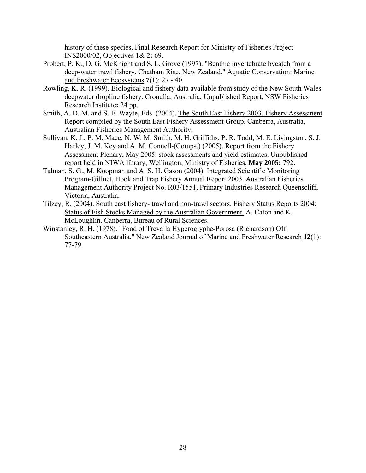history of these species, Final Research Report for Ministry of Fisheries Project INS2000/02, Objectives 1& 2**:** 69.

- Probert, P. K., D. G. McKnight and S. L. Grove (1997). "Benthic invertebrate bycatch from a deep-water trawl fishery, Chatham Rise, New Zealand." Aquatic Conservation: Marine and Freshwater Ecosystems **7**(1): 27 - 40.
- Rowling, K. R. (1999). Biological and fishery data available from study of the New South Wales deepwater dropline fishery. Cronulla, Australia, Unpublished Report, NSW Fisheries Research Institute**:** 24 pp.
- Smith, A. D. M. and S. E. Wayte, Eds. (2004). The South East Fishery 2003, Fishery Assessment Report compiled by the South East Fishery Assessment Group. Canberra, Australia, Australian Fisheries Management Authority.
- Sullivan, K. J., P. M. Mace, N. W. M. Smith, M. H. Griffiths, P. R. Todd, M. E. Livingston, S. J. Harley, J. M. Key and A. M. Connell-(Comps.) (2005). Report from the Fishery Assessment Plenary, May 2005: stock assessments and yield estimates. Unpublished report held in NIWA library, Wellington, Ministry of Fisheries. **May 2005:** 792.
- Talman, S. G., M. Koopman and A. S. H. Gason (2004). Integrated Scientific Monitoring Program-Gillnet, Hook and Trap Fishery Annual Report 2003. Australian Fisheries Management Authority Project No. R03/1551, Primary Industries Research Queenscliff, Victoria, Australia.
- Tilzey, R. (2004). South east fishery- trawl and non-trawl sectors. Fishery Status Reports 2004: Status of Fish Stocks Managed by the Australian Government. A. Caton and K. McLoughlin. Canberra, Bureau of Rural Sciences.
- Winstanley, R. H. (1978). "Food of Trevalla Hyperoglyphe-Porosa (Richardson) Off Southeastern Australia." New Zealand Journal of Marine and Freshwater Research **12**(1): 77-79.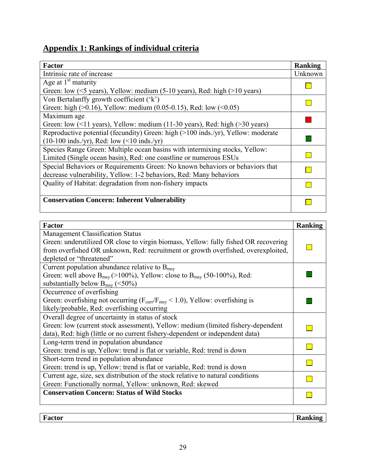## **Appendix 1: Rankings of individual criteria**

| <b>Factor</b>                                                                                              | Ranking |
|------------------------------------------------------------------------------------------------------------|---------|
| Intrinsic rate of increase                                                                                 | Unknown |
| Age at $1st$ maturity                                                                                      |         |
| Green: low ( $\leq$ 5 years), Yellow: medium (5-10 years), Red: high ( $>$ 10 years)                       |         |
| Von Bertalanffy growth coefficient ('k')                                                                   |         |
| Green: high $(>0.16)$ , Yellow: medium $(0.05-0.15)$ , Red: low $(<0.05)$                                  |         |
| Maximum age                                                                                                |         |
| Green: low $(11 \text{ years})$ , Yellow: medium $(11-30 \text{ years})$ , Red: high $(230 \text{ years})$ |         |
| Reproductive potential (fecundity) Green: high (>100 inds./yr), Yellow: moderate                           |         |
| $(10-100 \text{inds./yr})$ , Red: low $(<10 \text{inds./yr})$                                              |         |
| Species Range Green: Multiple ocean basins with intermixing stocks, Yellow:                                |         |
| Limited (Single ocean basin), Red: one coastline or numerous ESUs                                          |         |
| Special Behaviors or Requirements Green: No known behaviors or behaviors that                              |         |
| decrease vulnerability, Yellow: 1-2 behaviors, Red: Many behaviors                                         |         |
| Quality of Habitat: degradation from non-fishery impacts                                                   |         |
|                                                                                                            |         |
| <b>Conservation Concern: Inherent Vulnerability</b>                                                        |         |
|                                                                                                            |         |

| <b>Factor</b>                                                                                       | <b>Ranking</b> |
|-----------------------------------------------------------------------------------------------------|----------------|
| <b>Management Classification Status</b>                                                             |                |
| Green: underutilized OR close to virgin biomass, Yellow: fully fished OR recovering                 |                |
| from overfished OR unknown, Red: recruitment or growth overfished, overexploited,                   |                |
| depleted or "threatened"                                                                            |                |
| Current population abundance relative to $B_{\text{msv}}$                                           |                |
| Green: well above $B_{msy}$ (>100%), Yellow: close to $B_{msy}$ (50-100%), Red:                     |                |
| substantially below $B_{msy}$ (<50%)                                                                |                |
| Occurrence of overfishing                                                                           |                |
| Green: overfishing not occurring ( $F_{\text{curr}}/F_{\text{msy}} < 1.0$ ), Yellow: overfishing is |                |
| likely/probable, Red: overfishing occurring                                                         |                |
| Overall degree of uncertainty in status of stock                                                    |                |
| Green: low (current stock assessment), Yellow: medium (limited fishery-dependent                    |                |
| data), Red: high (little or no current fishery-dependent or independent data)                       |                |
| Long-term trend in population abundance                                                             |                |
| Green: trend is up, Yellow: trend is flat or variable, Red: trend is down                           |                |
| Short-term trend in population abundance                                                            |                |
| Green: trend is up, Yellow: trend is flat or variable, Red: trend is down                           |                |
| Current age, size, sex distribution of the stock relative to natural conditions                     |                |
| Green: Functionally normal, Yellow: unknown, Red: skewed                                            |                |
| <b>Conservation Concern: Status of Wild Stocks</b>                                                  |                |
|                                                                                                     |                |

**Fanking**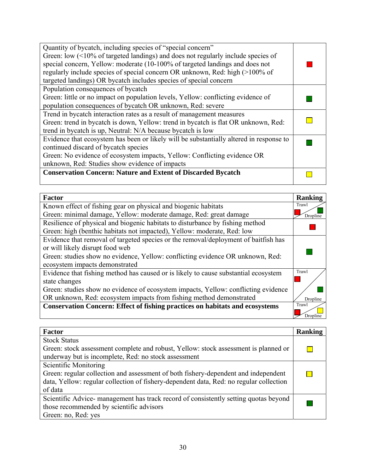| <b>Factor</b>                                                                       | <b>Ranking</b> |
|-------------------------------------------------------------------------------------|----------------|
| Known effect of fishing gear on physical and biogenic habitats                      | Trawl          |
| Green: minimal damage, Yellow: moderate damage, Red: great damage                   | Dropline       |
| Resilience of physical and biogenic habitats to disturbance by fishing method       |                |
| Green: high (benthic habitats not impacted), Yellow: moderate, Red: low             |                |
| Evidence that removal of targeted species or the removal/deployment of baitfish has |                |
| or will likely disrupt food web                                                     |                |
| Green: studies show no evidence, Yellow: conflicting evidence OR unknown, Red:      |                |
| ecosystem impacts demonstrated                                                      |                |
| Evidence that fishing method has caused or is likely to cause substantial ecosystem | Trawl          |
| state changes                                                                       |                |
| Green: studies show no evidence of ecosystem impacts, Yellow: conflicting evidence  |                |
| OR unknown, Red: ecosystem impacts from fishing method demonstrated                 | Dropline       |
| <b>Conservation Concern: Effect of fishing practices on habitats and ecosystems</b> | Trawl          |
|                                                                                     | Dropline       |

| <b>Factor</b>                                                                          | Ranking |
|----------------------------------------------------------------------------------------|---------|
| <b>Stock Status</b>                                                                    |         |
| Green: stock assessment complete and robust, Yellow: stock assessment is planned or    |         |
| underway but is incomplete, Red: no stock assessment                                   |         |
| Scientific Monitoring                                                                  |         |
| Green: regular collection and assessment of both fishery-dependent and independent     |         |
| data, Yellow: regular collection of fishery-dependent data, Red: no regular collection |         |
| of data                                                                                |         |
| Scientific Advice- management has track record of consistently setting quotas beyond   |         |
| those recommended by scientific advisors                                               |         |
| Green: no, Red: yes                                                                    |         |